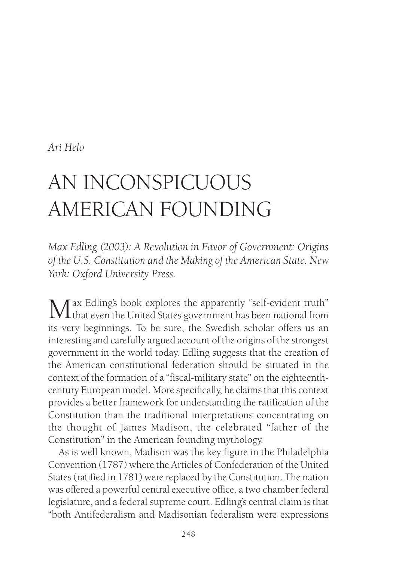# *Ari Helo*

# AN INCONSPICUOUS AMERICAN FOUNDING

*Max Edling (2003): A Revolution in Favor of Government: Origins of the U.S. Constitution and the Making of the American State. New York: Oxford University Press.*

Max Edling's book explores the apparently "self-evident truth"<br>that even the United States government has been national from its very beginnings. To be sure, the Swedish scholar offers us an interesting and carefully argued account of the origins of the strongest government in the world today. Edling suggests that the creation of the American constitutional federation should be situated in the context of the formation of a "fiscal-military state" on the eighteenthcentury European model. More specifically, he claims that this context provides a better framework for understanding the ratification of the Constitution than the traditional interpretations concentrating on the thought of James Madison, the celebrated "father of the Constitution" in the American founding mythology.

As is well known, Madison was the key figure in the Philadelphia Convention (1787) where the Articles of Confederation of the United States (ratified in 1781) were replaced by the Constitution. The nation was offered a powerful central executive office, a two chamber federal legislature, and a federal supreme court. Edling's central claim is that "both Antifederalism and Madisonian federalism were expressions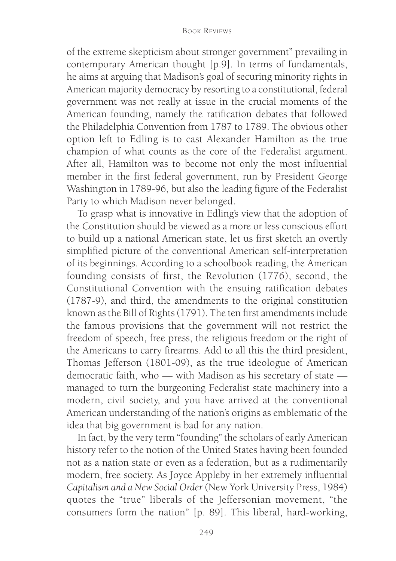of the extreme skepticism about stronger government" prevailing in contemporary American thought [p.9]. In terms of fundamentals, he aims at arguing that Madison's goal of securing minority rights in American majority democracy by resorting to a constitutional, federal government was not really at issue in the crucial moments of the American founding, namely the ratification debates that followed the Philadelphia Convention from 1787 to 1789. The obvious other option left to Edling is to cast Alexander Hamilton as the true champion of what counts as the core of the Federalist argument. After all, Hamilton was to become not only the most influential member in the first federal government, run by President George Washington in 1789-96, but also the leading figure of the Federalist Party to which Madison never belonged.

To grasp what is innovative in Edling's view that the adoption of the Constitution should be viewed as a more or less conscious effort to build up a national American state, let us first sketch an overtly simplified picture of the conventional American self-interpretation of its beginnings. According to a schoolbook reading, the American founding consists of first, the Revolution (1776), second, the Constitutional Convention with the ensuing ratification debates (1787-9), and third, the amendments to the original constitution known as the Bill of Rights (1791). The ten first amendments include the famous provisions that the government will not restrict the freedom of speech, free press, the religious freedom or the right of the Americans to carry firearms. Add to all this the third president, Thomas Jefferson (1801-09), as the true ideologue of American democratic faith, who — with Madison as his secretary of state managed to turn the burgeoning Federalist state machinery into a modern, civil society, and you have arrived at the conventional American understanding of the nation's origins as emblematic of the idea that big government is bad for any nation.

In fact, by the very term "founding" the scholars of early American history refer to the notion of the United States having been founded not as a nation state or even as a federation, but as a rudimentarily modern, free society. As Joyce Appleby in her extremely influential *Capitalism and a New Social Order* (New York University Press, 1984) quotes the "true" liberals of the Jeffersonian movement, "the consumers form the nation" [p. 89]. This liberal, hard-working,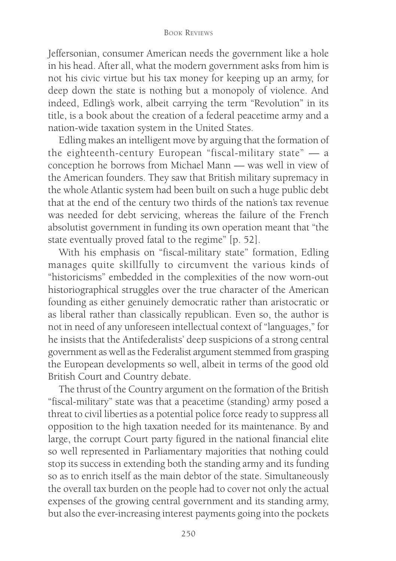Jeffersonian, consumer American needs the government like a hole in his head. After all, what the modern government asks from him is not his civic virtue but his tax money for keeping up an army, for deep down the state is nothing but a monopoly of violence. And indeed, Edling's work, albeit carrying the term "Revolution" in its title, is a book about the creation of a federal peacetime army and a nation-wide taxation system in the United States.

Edling makes an intelligent move by arguing that the formation of the eighteenth-century European "fiscal-military state" — a conception he borrows from Michael Mann — was well in view of the American founders. They saw that British military supremacy in the whole Atlantic system had been built on such a huge public debt that at the end of the century two thirds of the nation's tax revenue was needed for debt servicing, whereas the failure of the French absolutist government in funding its own operation meant that "the state eventually proved fatal to the regime" [p. 52].

With his emphasis on "fiscal-military state" formation, Edling manages quite skillfully to circumvent the various kinds of "historicisms" embedded in the complexities of the now worn-out historiographical struggles over the true character of the American founding as either genuinely democratic rather than aristocratic or as liberal rather than classically republican. Even so, the author is not in need of any unforeseen intellectual context of "languages," for he insists that the Antifederalists' deep suspicions of a strong central government as well as the Federalist argument stemmed from grasping the European developments so well, albeit in terms of the good old British Court and Country debate.

The thrust of the Country argument on the formation of the British "fiscal-military" state was that a peacetime (standing) army posed a threat to civil liberties as a potential police force ready to suppress all opposition to the high taxation needed for its maintenance. By and large, the corrupt Court party figured in the national financial elite so well represented in Parliamentary majorities that nothing could stop its success in extending both the standing army and its funding so as to enrich itself as the main debtor of the state. Simultaneously the overall tax burden on the people had to cover not only the actual expenses of the growing central government and its standing army, but also the ever-increasing interest payments going into the pockets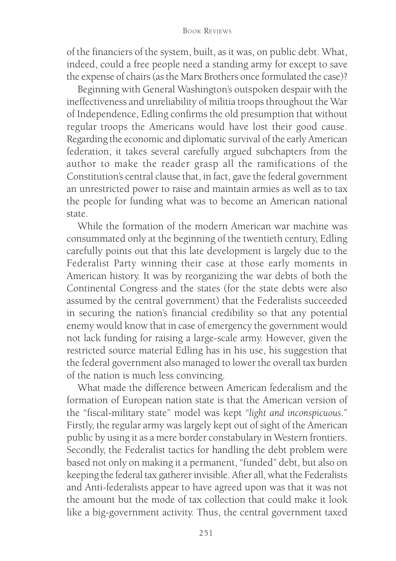#### BOOK REVIEWS

of the financiers of the system, built, as it was, on public debt. What, indeed, could a free people need a standing army for except to save the expense of chairs (as the Marx Brothers once formulated the case)?

Beginning with General Washington's outspoken despair with the ineffectiveness and unreliability of militia troops throughout the War of Independence, Edling confirms the old presumption that without regular troops the Americans would have lost their good cause. Regarding the economic and diplomatic survival of the early American federation, it takes several carefully argued subchapters from the author to make the reader grasp all the ramifications of the Constitution's central clause that, in fact, gave the federal government an unrestricted power to raise and maintain armies as well as to tax the people for funding what was to become an American national state.

While the formation of the modern American war machine was consummated only at the beginning of the twentieth century, Edling carefully points out that this late development is largely due to the Federalist Party winning their case at those early moments in American history. It was by reorganizing the war debts of both the Continental Congress and the states (for the state debts were also assumed by the central government) that the Federalists succeeded in securing the nation's financial credibility so that any potential enemy would know that in case of emergency the government would not lack funding for raising a large-scale army. However, given the restricted source material Edling has in his use, his suggestion that the federal government also managed to lower the overall tax burden of the nation is much less convincing.

What made the difference between American federalism and the formation of European nation state is that the American version of the "fiscal-military state" model was kept "*light and inconspicuous.*" Firstly, the regular army was largely kept out of sight of the American public by using it as a mere border constabulary in Western frontiers. Secondly, the Federalist tactics for handling the debt problem were based not only on making it a permanent, "funded" debt, but also on keeping the federal tax gatherer invisible. After all, what the Federalists and Anti-federalists appear to have agreed upon was that it was not the amount but the mode of tax collection that could make it look like a big-government activity. Thus, the central government taxed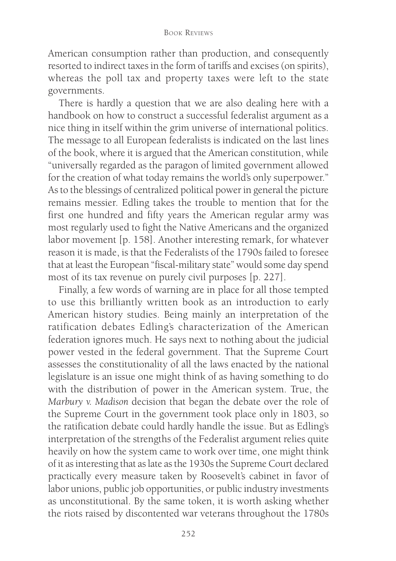## BOOK REVIEWS

American consumption rather than production, and consequently resorted to indirect taxes in the form of tariffs and excises (on spirits), whereas the poll tax and property taxes were left to the state governments.

There is hardly a question that we are also dealing here with a handbook on how to construct a successful federalist argument as a nice thing in itself within the grim universe of international politics. The message to all European federalists is indicated on the last lines of the book, where it is argued that the American constitution, while "universally regarded as the paragon of limited government allowed for the creation of what today remains the world's only superpower." As to the blessings of centralized political power in general the picture remains messier. Edling takes the trouble to mention that for the first one hundred and fifty years the American regular army was most regularly used to fight the Native Americans and the organized labor movement [p. 158]. Another interesting remark, for whatever reason it is made, is that the Federalists of the 1790s failed to foresee that at least the European "fiscal-military state" would some day spend most of its tax revenue on purely civil purposes [p. 227].

Finally, a few words of warning are in place for all those tempted to use this brilliantly written book as an introduction to early American history studies. Being mainly an interpretation of the ratification debates Edling's characterization of the American federation ignores much. He says next to nothing about the judicial power vested in the federal government. That the Supreme Court assesses the constitutionality of all the laws enacted by the national legislature is an issue one might think of as having something to do with the distribution of power in the American system. True, the *Marbury v. Madison* decision that began the debate over the role of the Supreme Court in the government took place only in 1803, so the ratification debate could hardly handle the issue. But as Edling's interpretation of the strengths of the Federalist argument relies quite heavily on how the system came to work over time, one might think of it as interesting that as late as the 1930s the Supreme Court declared practically every measure taken by Roosevelt's cabinet in favor of labor unions, public job opportunities, or public industry investments as unconstitutional. By the same token, it is worth asking whether the riots raised by discontented war veterans throughout the 1780s